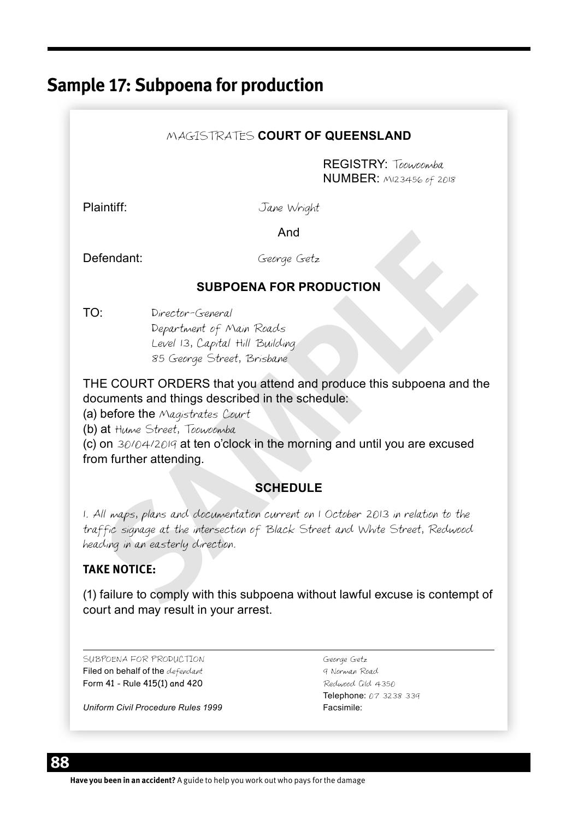# **Sample 17: Subpoena for production**

#### MAGISTRATES **COURT OF QUEENSLAND**

REGISTRY: Toowoomba NUMBER: M123456 of 2018

Plaintiff: Jane Wright

**And And And** 

Defendant: George Getz

#### **SUBPOENA FOR PRODUCTION**

TO: Director-General Department of Main Roads Level 13, Capital Hill Building 85 George Street, Brisbane

THE COURT ORDERS that you attend and produce this subpoena and the documents and things described in the schedule:

(a) before the Magistrates Court

(b) at Hume Street, Toowoomba

(c) on 30/04/2019 at ten o'clock in the morning and until you are excused from further attending.

### **SCHEDULE**

And<br> **Seerge Getz**<br> **SUBPOENA FOR PRODUCTION**<br>
Department of Main Reads<br>
Level 13, Capital Hill Building<br>
SE Geerge Street, Brisbane<br>
IE COURT ORDERS that you attend and produce this subpoena and the<br>
Unress freety, Techno 1. All maps, plans and documentation current on 1 October 2013 in relation to the traffic signage at the intersection of Black Street and White Street, Redwood heading in an easterly direction.

### **TAKE NOTICE:**

(1) failure to comply with this subpoena without lawful excuse is contempt of court and may result in your arrest.

SUBPOENA FOR PRODUCTION George Getz Filed on behalf of the defendant 9 Norman Road Form 41 - Rule 415(1) and 420 Redwood Qld 4350

*Uniform Civil Procedure Rules 1999* Facsimile:

Telephone: 07 3238 339